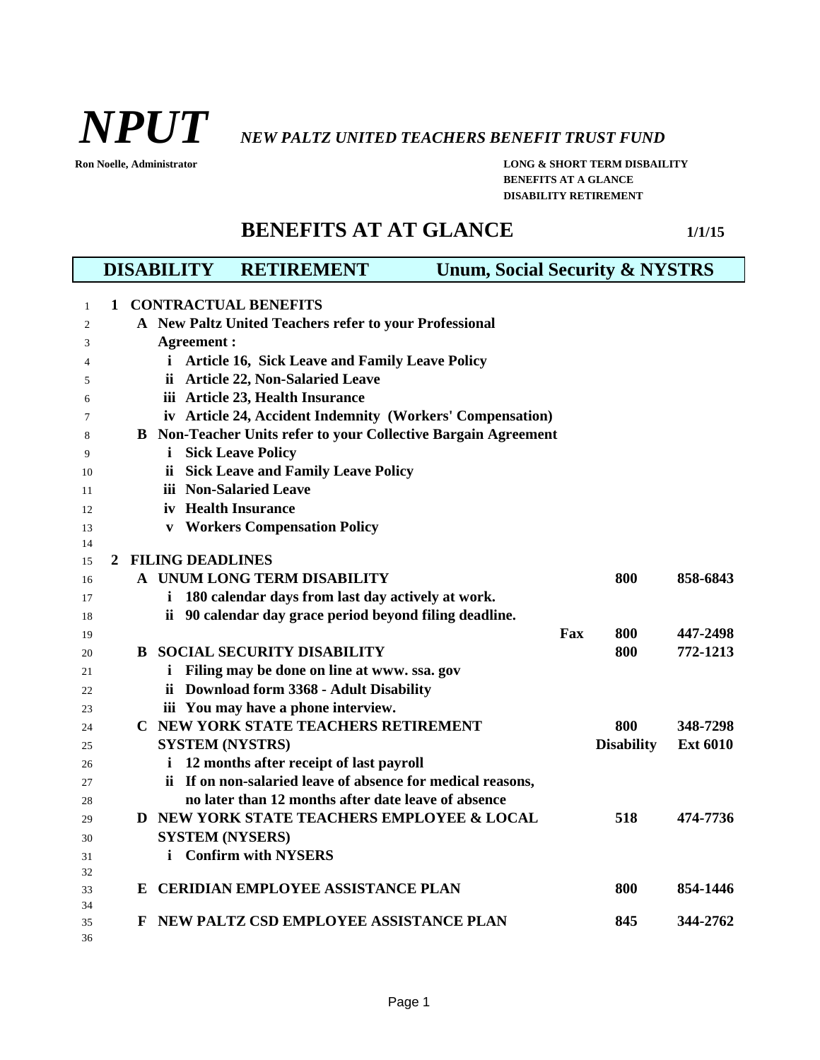

*NPUT NEW PALTZ UNITED TEACHERS BENEFIT TRUST FUND*

**Ron Noelle, Administrator LONG & SHORT TERM DISBAILITY BENEFITS AT A GLANCE DISABILITY RETIREMENT**

## **BENEFITS AT AT GLANCE** 1/1/15

|          |                   |    |     | <b>RETIREMENT</b><br><b>DISABILITY</b>                                | <b>Unum, Social Security &amp; NYSTRS</b> |                   |                 |  |
|----------|-------------------|----|-----|-----------------------------------------------------------------------|-------------------------------------------|-------------------|-----------------|--|
| 1        | 1                 |    |     | <b>CONTRACTUAL BENEFITS</b>                                           |                                           |                   |                 |  |
| 2        |                   |    |     | A New Paltz United Teachers refer to your Professional                |                                           |                   |                 |  |
| 3        | <b>Agreement:</b> |    |     |                                                                       |                                           |                   |                 |  |
| 4        |                   |    | i.  | <b>Article 16, Sick Leave and Family Leave Policy</b>                 |                                           |                   |                 |  |
| 5        |                   |    | ii. | <b>Article 22, Non-Salaried Leave</b>                                 |                                           |                   |                 |  |
| 6        |                   |    |     | iii Article 23, Health Insurance                                      |                                           |                   |                 |  |
| 7        |                   |    |     | iv Article 24, Accident Indemnity (Workers' Compensation)             |                                           |                   |                 |  |
| 8        |                   |    |     | <b>B</b> Non-Teacher Units refer to your Collective Bargain Agreement |                                           |                   |                 |  |
| 9        |                   |    | i   | <b>Sick Leave Policy</b>                                              |                                           |                   |                 |  |
| 10       |                   |    |     | ii Sick Leave and Family Leave Policy                                 |                                           |                   |                 |  |
| 11       |                   |    |     | iii Non-Salaried Leave                                                |                                           |                   |                 |  |
| 12       |                   |    |     | iv Health Insurance                                                   |                                           |                   |                 |  |
| 13       |                   |    |     | <b>v</b> Workers Compensation Policy                                  |                                           |                   |                 |  |
| 14       |                   |    |     |                                                                       |                                           |                   |                 |  |
| 15       |                   |    |     | 2 FILING DEADLINES                                                    |                                           |                   |                 |  |
| 16       |                   |    |     | A UNUM LONG TERM DISABILITY                                           |                                           | 800               | 858-6843        |  |
| 17       |                   |    |     | i 180 calendar days from last day actively at work.                   |                                           |                   |                 |  |
| 18       |                   |    |     | ii 90 calendar day grace period beyond filing deadline.               |                                           |                   |                 |  |
| 19       |                   |    |     |                                                                       | Fax                                       | 800               | 447-2498        |  |
| 20       |                   | B. |     | <b>SOCIAL SECURITY DISABILITY</b>                                     |                                           | 800               | 772-1213        |  |
| 21       |                   |    |     | i Filing may be done on line at www. ssa. gov                         |                                           |                   |                 |  |
| 22       |                   |    |     | ii Download form 3368 - Adult Disability                              |                                           |                   |                 |  |
| 23       |                   |    |     | iii You may have a phone interview.                                   |                                           |                   |                 |  |
| 24       |                   |    |     | C NEW YORK STATE TEACHERS RETIREMENT                                  |                                           | 800               | 348-7298        |  |
| 25       |                   |    |     | <b>SYSTEM (NYSTRS)</b>                                                |                                           | <b>Disability</b> | <b>Ext 6010</b> |  |
| 26       |                   |    | i.  | 12 months after receipt of last payroll                               |                                           |                   |                 |  |
| 27       |                   |    |     | ii If on non-salaried leave of absence for medical reasons,           |                                           |                   |                 |  |
| 28       |                   |    |     | no later than 12 months after date leave of absence                   |                                           |                   |                 |  |
| 29       |                   |    |     | D NEW YORK STATE TEACHERS EMPLOYEE & LOCAL                            |                                           | 518               | 474-7736        |  |
| 30       |                   |    |     | <b>SYSTEM (NYSERS)</b>                                                |                                           |                   |                 |  |
| 31       |                   |    |     | i Confirm with NYSERS                                                 |                                           |                   |                 |  |
| 32<br>33 |                   |    |     | E CERIDIAN EMPLOYEE ASSISTANCE PLAN                                   |                                           | 800               | 854-1446        |  |
| 34       |                   |    |     |                                                                       |                                           |                   |                 |  |
| 35       |                   | F  |     | NEW PALTZ CSD EMPLOYEE ASSISTANCE PLAN                                |                                           | 845               | 344-2762        |  |
| 36       |                   |    |     |                                                                       |                                           |                   |                 |  |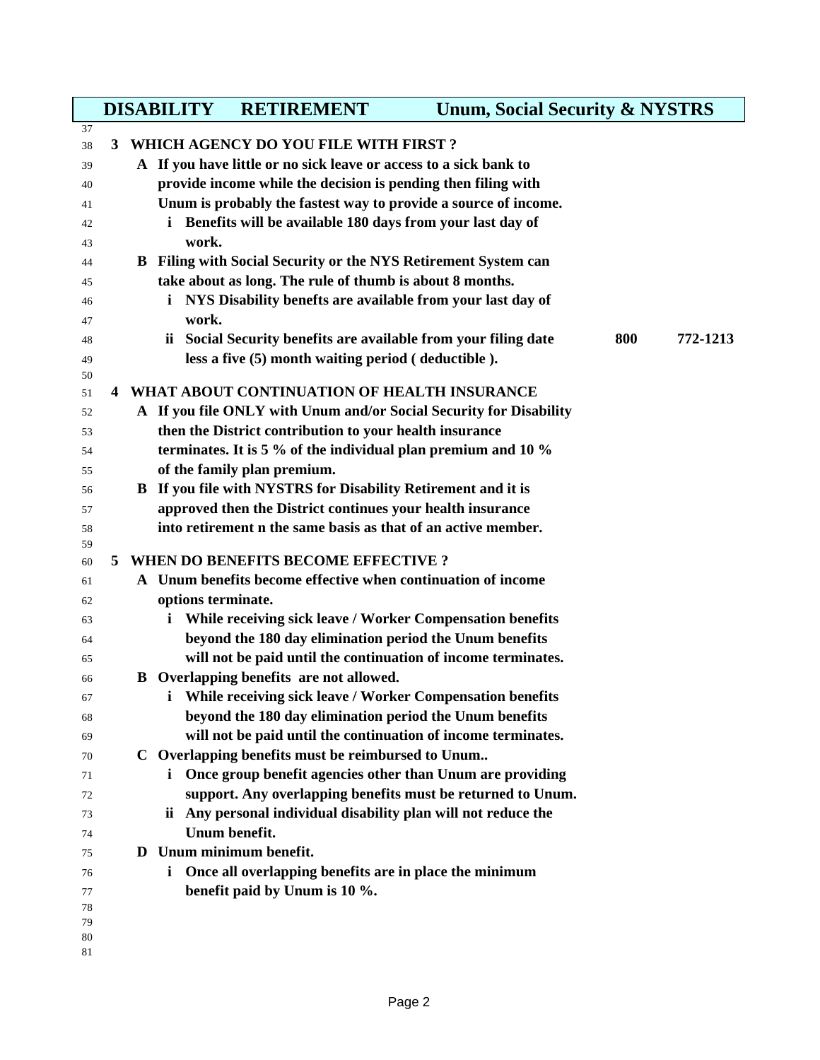|          |                                                               |  | <b>DISABILITY</b>  | <b>RETIREMENT</b>                                                     | <b>Unum, Social Security &amp; NYSTRS</b>                          |     |          |  |
|----------|---------------------------------------------------------------|--|--------------------|-----------------------------------------------------------------------|--------------------------------------------------------------------|-----|----------|--|
| 37       |                                                               |  |                    |                                                                       |                                                                    |     |          |  |
| 38       | 3                                                             |  |                    | WHICH AGENCY DO YOU FILE WITH FIRST?                                  |                                                                    |     |          |  |
| 39       |                                                               |  |                    | A If you have little or no sick leave or access to a sick bank to     |                                                                    |     |          |  |
| 40       | provide income while the decision is pending then filing with |  |                    |                                                                       |                                                                    |     |          |  |
| 41       |                                                               |  |                    |                                                                       | Unum is probably the fastest way to provide a source of income.    |     |          |  |
| 42       |                                                               |  |                    | i Benefits will be available 180 days from your last day of           |                                                                    |     |          |  |
| 43       |                                                               |  | work.              |                                                                       |                                                                    |     |          |  |
| 44       |                                                               |  |                    | <b>B</b> Filing with Social Security or the NYS Retirement System can |                                                                    |     |          |  |
| 45       |                                                               |  |                    | take about as long. The rule of thumb is about 8 months.              |                                                                    |     |          |  |
| 46       |                                                               |  |                    | NYS Disability benefts are available from your last day of            |                                                                    |     |          |  |
| 47       |                                                               |  | work.              |                                                                       |                                                                    |     |          |  |
| 48       |                                                               |  |                    | ii Social Security benefits are available from your filing date       |                                                                    | 800 | 772-1213 |  |
| 49       |                                                               |  |                    | less a five (5) month waiting period (deductible).                    |                                                                    |     |          |  |
| 50       |                                                               |  |                    |                                                                       |                                                                    |     |          |  |
| 51       | 4                                                             |  |                    | WHAT ABOUT CONTINUATION OF HEALTH INSURANCE                           |                                                                    |     |          |  |
| 52       |                                                               |  |                    |                                                                       | A If you file ONLY with Unum and/or Social Security for Disability |     |          |  |
| 53       |                                                               |  |                    | then the District contribution to your health insurance               |                                                                    |     |          |  |
| 54       |                                                               |  |                    | terminates. It is 5 % of the individual plan premium and 10 %         |                                                                    |     |          |  |
| 55       |                                                               |  |                    | of the family plan premium.                                           |                                                                    |     |          |  |
| 56       |                                                               |  |                    | B If you file with NYSTRS for Disability Retirement and it is         |                                                                    |     |          |  |
| 57       |                                                               |  |                    | approved then the District continues your health insurance            |                                                                    |     |          |  |
| 58       |                                                               |  |                    | into retirement n the same basis as that of an active member.         |                                                                    |     |          |  |
| 59       |                                                               |  |                    |                                                                       |                                                                    |     |          |  |
| 60       | 5                                                             |  |                    | <b>WHEN DO BENEFITS BECOME EFFECTIVE?</b>                             |                                                                    |     |          |  |
| 61       |                                                               |  |                    | A Unum benefits become effective when continuation of income          |                                                                    |     |          |  |
| 62       |                                                               |  | options terminate. |                                                                       |                                                                    |     |          |  |
| 63       |                                                               |  | i.                 | While receiving sick leave / Worker Compensation benefits             |                                                                    |     |          |  |
| 64       |                                                               |  |                    | beyond the 180 day elimination period the Unum benefits               |                                                                    |     |          |  |
| 65       |                                                               |  |                    |                                                                       | will not be paid until the continuation of income terminates.      |     |          |  |
| 66       |                                                               |  |                    | <b>B</b> Overlapping benefits are not allowed.                        |                                                                    |     |          |  |
| 67       |                                                               |  | i.                 | While receiving sick leave / Worker Compensation benefits             |                                                                    |     |          |  |
| 68       |                                                               |  |                    | beyond the 180 day elimination period the Unum benefits               |                                                                    |     |          |  |
| 69       |                                                               |  |                    |                                                                       | will not be paid until the continuation of income terminates.      |     |          |  |
| 70       |                                                               |  |                    | C Overlapping benefits must be reimbursed to Unum                     |                                                                    |     |          |  |
| 71       |                                                               |  |                    |                                                                       | <i>i</i> Once group benefit agencies other than Unum are providing |     |          |  |
| 72       |                                                               |  |                    |                                                                       | support. Any overlapping benefits must be returned to Unum.        |     |          |  |
| 73       |                                                               |  |                    | ii Any personal individual disability plan will not reduce the        |                                                                    |     |          |  |
| 74       |                                                               |  |                    | Unum benefit.                                                         |                                                                    |     |          |  |
| 75       |                                                               |  |                    | D Unum minimum benefit.                                               |                                                                    |     |          |  |
| 76       |                                                               |  | i.                 | Once all overlapping benefits are in place the minimum                |                                                                    |     |          |  |
| 77       |                                                               |  |                    | benefit paid by Unum is 10 %.                                         |                                                                    |     |          |  |
| 78       |                                                               |  |                    |                                                                       |                                                                    |     |          |  |
| 79<br>80 |                                                               |  |                    |                                                                       |                                                                    |     |          |  |
| 81       |                                                               |  |                    |                                                                       |                                                                    |     |          |  |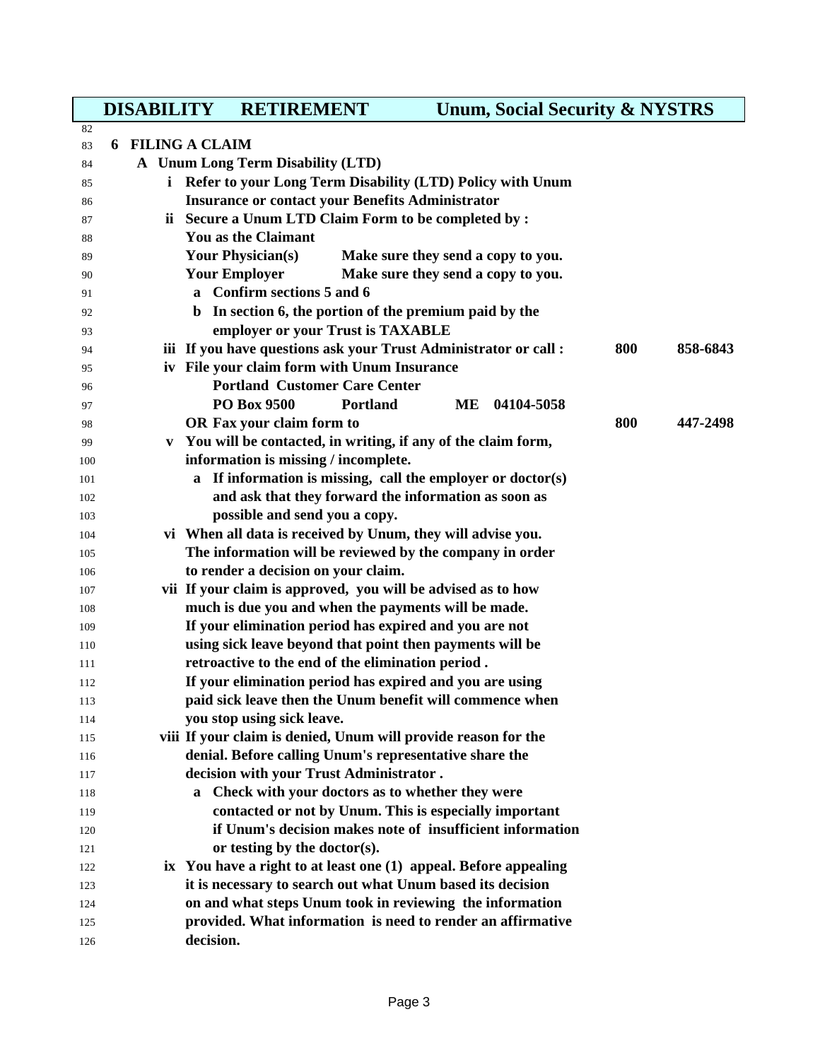**DISABILITY RETIREMENT Unum, Social Security & NYSTRS**

| 82         |  |   |                                                                                                     |     |          |
|------------|--|---|-----------------------------------------------------------------------------------------------------|-----|----------|
| 83         |  |   | <b>6 FILING A CLAIM</b>                                                                             |     |          |
| 84         |  |   | A Unum Long Term Disability (LTD)                                                                   |     |          |
| 85         |  |   | i Refer to your Long Term Disability (LTD) Policy with Unum                                         |     |          |
| 86         |  |   | <b>Insurance or contact your Benefits Administrator</b>                                             |     |          |
| 87         |  |   | ii Secure a Unum LTD Claim Form to be completed by :                                                |     |          |
| 88         |  |   | <b>You as the Claimant</b>                                                                          |     |          |
| 89         |  |   | <b>Your Physician(s)</b><br>Make sure they send a copy to you.                                      |     |          |
| 90         |  |   | <b>Your Employer</b><br>Make sure they send a copy to you.                                          |     |          |
| 91         |  |   | a Confirm sections 5 and 6                                                                          |     |          |
| 92         |  |   | b In section 6, the portion of the premium paid by the                                              |     |          |
| 93         |  |   | employer or your Trust is TAXABLE                                                                   |     |          |
| 94         |  |   | iii If you have questions ask your Trust Administrator or call :                                    | 800 | 858-6843 |
| 95         |  |   | iv File your claim form with Unum Insurance                                                         |     |          |
| 96         |  |   | <b>Portland Customer Care Center</b>                                                                |     |          |
| 97         |  |   | PO Box 9500<br><b>Portland</b><br><b>ME</b><br>04104-5058                                           |     |          |
| 98         |  |   | OR Fax your claim form to                                                                           | 800 | 447-2498 |
| 99         |  | V | You will be contacted, in writing, if any of the claim form,                                        |     |          |
| 100        |  |   | information is missing / incomplete.                                                                |     |          |
| 101        |  |   | a If information is missing, call the employer or doctor(s)                                         |     |          |
| 102        |  |   | and ask that they forward the information as soon as                                                |     |          |
| 103        |  |   | possible and send you a copy.                                                                       |     |          |
| 104        |  |   | vi When all data is received by Unum, they will advise you.                                         |     |          |
| 105        |  |   | The information will be reviewed by the company in order                                            |     |          |
| 106        |  |   | to render a decision on your claim.<br>vii If your claim is approved, you will be advised as to how |     |          |
| 107        |  |   | much is due you and when the payments will be made.                                                 |     |          |
| 108        |  |   | If your elimination period has expired and you are not                                              |     |          |
| 109        |  |   | using sick leave beyond that point then payments will be                                            |     |          |
| 110<br>111 |  |   | retroactive to the end of the elimination period.                                                   |     |          |
| 112        |  |   | If your elimination period has expired and you are using                                            |     |          |
| 113        |  |   | paid sick leave then the Unum benefit will commence when                                            |     |          |
| 114        |  |   | you stop using sick leave.                                                                          |     |          |
| 115        |  |   | viii If your claim is denied, Unum will provide reason for the                                      |     |          |
| 116        |  |   | denial. Before calling Unum's representative share the                                              |     |          |
| 117        |  |   | decision with your Trust Administrator.                                                             |     |          |
| 118        |  |   | a Check with your doctors as to whether they were                                                   |     |          |
| 119        |  |   | contacted or not by Unum. This is especially important                                              |     |          |
| 120        |  |   | if Unum's decision makes note of insufficient information                                           |     |          |
| 121        |  |   | or testing by the doctor(s).                                                                        |     |          |
| 122        |  |   | ix You have a right to at least one (1) appeal. Before appealing                                    |     |          |
| 123        |  |   | it is necessary to search out what Unum based its decision                                          |     |          |
| 124        |  |   | on and what steps Unum took in reviewing the information                                            |     |          |
| 125        |  |   | provided. What information is need to render an affirmative                                         |     |          |
| 126        |  |   | decision.                                                                                           |     |          |
|            |  |   |                                                                                                     |     |          |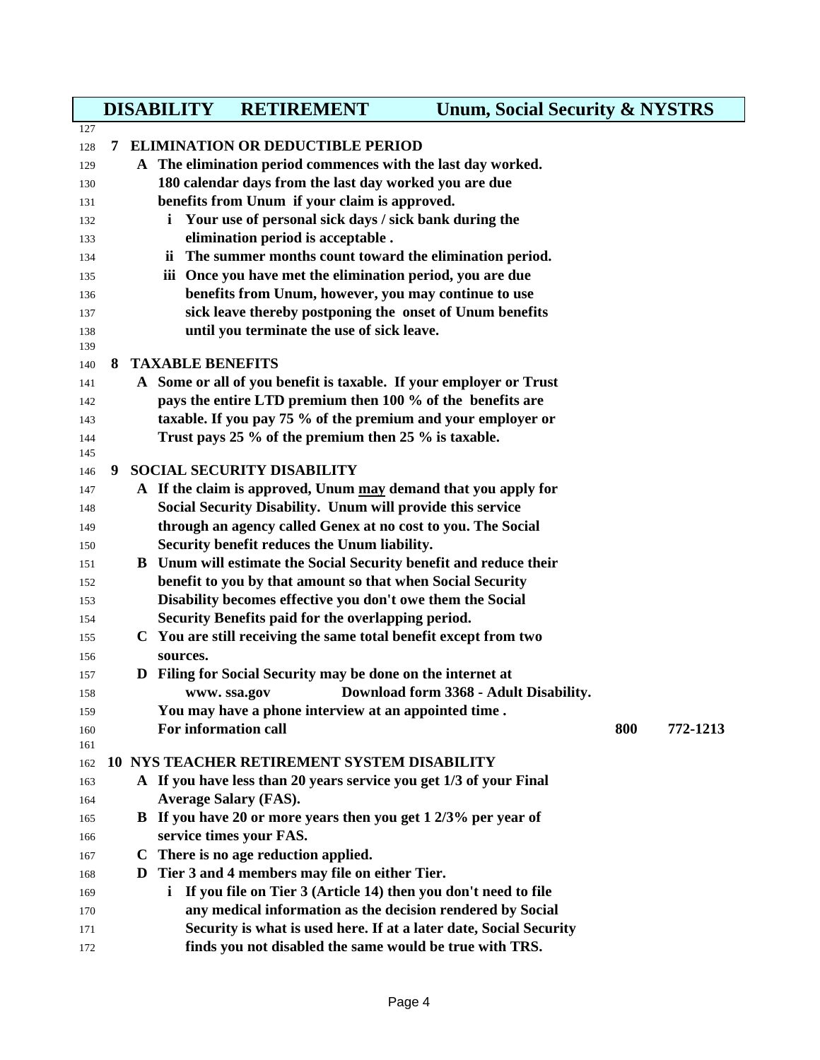|            |    | <b>DISABILITY</b>       | <b>RETIREMENT</b>                                                  | <b>Unum, Social Security &amp; NYSTRS</b> |     |          |  |
|------------|----|-------------------------|--------------------------------------------------------------------|-------------------------------------------|-----|----------|--|
| 127        |    |                         |                                                                    |                                           |     |          |  |
| 128        | 7  |                         | <b>ELIMINATION OR DEDUCTIBLE PERIOD</b>                            |                                           |     |          |  |
| 129        |    |                         | A The elimination period commences with the last day worked.       |                                           |     |          |  |
| 130        |    |                         | 180 calendar days from the last day worked you are due             |                                           |     |          |  |
| 131        |    |                         | benefits from Unum if your claim is approved.                      |                                           |     |          |  |
| 132        |    | i                       | Your use of personal sick days / sick bank during the              |                                           |     |          |  |
| 133        |    |                         | elimination period is acceptable.                                  |                                           |     |          |  |
| 134        |    |                         | ii The summer months count toward the elimination period.          |                                           |     |          |  |
| 135        |    |                         | iii Once you have met the elimination period, you are due          |                                           |     |          |  |
| 136        |    |                         | benefits from Unum, however, you may continue to use               |                                           |     |          |  |
| 137        |    |                         | sick leave thereby postponing the onset of Unum benefits           |                                           |     |          |  |
| 138        |    |                         | until you terminate the use of sick leave.                         |                                           |     |          |  |
| 139<br>140 | 8. | <b>TAXABLE BENEFITS</b> |                                                                    |                                           |     |          |  |
| 141        |    |                         | A Some or all of you benefit is taxable. If your employer or Trust |                                           |     |          |  |
| 142        |    |                         | pays the entire LTD premium then 100 % of the benefits are         |                                           |     |          |  |
| 143        |    |                         | taxable. If you pay 75 % of the premium and your employer or       |                                           |     |          |  |
| 144        |    |                         | Trust pays 25 % of the premium then 25 % is taxable.               |                                           |     |          |  |
| 145        |    |                         |                                                                    |                                           |     |          |  |
| 146        | 9  |                         | <b>SOCIAL SECURITY DISABILITY</b>                                  |                                           |     |          |  |
| 147        |    |                         | A If the claim is approved, Unum may demand that you apply for     |                                           |     |          |  |
| 148        |    |                         | Social Security Disability. Unum will provide this service         |                                           |     |          |  |
| 149        |    |                         | through an agency called Genex at no cost to you. The Social       |                                           |     |          |  |
| 150        |    |                         | Security benefit reduces the Unum liability.                       |                                           |     |          |  |
| 151        |    |                         | B Unum will estimate the Social Security benefit and reduce their  |                                           |     |          |  |
| 152        |    |                         | benefit to you by that amount so that when Social Security         |                                           |     |          |  |
| 153        |    |                         | Disability becomes effective you don't owe them the Social         |                                           |     |          |  |
| 154        |    |                         | Security Benefits paid for the overlapping period.                 |                                           |     |          |  |
| 155        |    |                         | C You are still receiving the same total benefit except from two   |                                           |     |          |  |
| 156        |    | sources.                |                                                                    |                                           |     |          |  |
| 157        |    |                         | D Filing for Social Security may be done on the internet at        |                                           |     |          |  |
| 158        |    |                         | www.ssa.gov                                                        | Download form 3368 - Adult Disability.    |     |          |  |
| 159        |    |                         | You may have a phone interview at an appointed time.               |                                           |     |          |  |
| 160        |    | For information call    |                                                                    |                                           | 800 | 772-1213 |  |
| 161        |    |                         |                                                                    |                                           |     |          |  |
| 162        |    |                         | 10 NYS TEACHER RETIREMENT SYSTEM DISABILITY                        |                                           |     |          |  |
| 163        |    |                         | A If you have less than 20 years service you get 1/3 of your Final |                                           |     |          |  |
| 164        |    |                         | <b>Average Salary (FAS).</b>                                       |                                           |     |          |  |
| 165        |    |                         | B If you have 20 or more years then you get 1 2/3% per year of     |                                           |     |          |  |
| 166        |    |                         | service times your FAS.<br>C There is no age reduction applied.    |                                           |     |          |  |
| 167        |    |                         | Tier 3 and 4 members may file on either Tier.                      |                                           |     |          |  |
| 168        |    | D.<br>i.                | If you file on Tier 3 (Article 14) then you don't need to file     |                                           |     |          |  |
| 169        |    |                         | any medical information as the decision rendered by Social         |                                           |     |          |  |
| 170        |    |                         | Security is what is used here. If at a later date, Social Security |                                           |     |          |  |
| 171        |    |                         | finds you not disabled the same would be true with TRS.            |                                           |     |          |  |
| 172        |    |                         |                                                                    |                                           |     |          |  |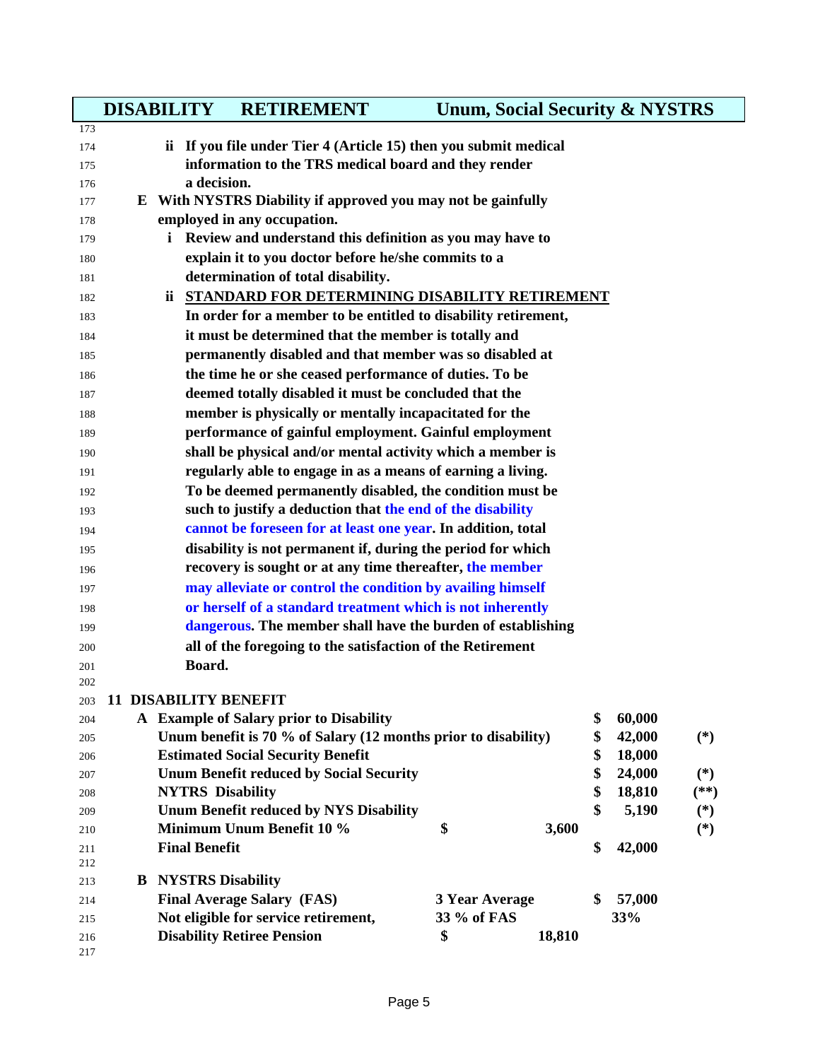|            | <b>DISABILITY</b>                                                                                                        | <b>RETIREMENT</b>                                                          | <b>Unum, Social Security &amp; NYSTRS</b> |        |    |        |                |  |  |  |
|------------|--------------------------------------------------------------------------------------------------------------------------|----------------------------------------------------------------------------|-------------------------------------------|--------|----|--------|----------------|--|--|--|
| 173<br>174 |                                                                                                                          |                                                                            |                                           |        |    |        |                |  |  |  |
| 175        | ii If you file under Tier 4 (Article 15) then you submit medical<br>information to the TRS medical board and they render |                                                                            |                                           |        |    |        |                |  |  |  |
| 176        | a decision.                                                                                                              |                                                                            |                                           |        |    |        |                |  |  |  |
| 177        | With NYSTRS Diability if approved you may not be gainfully<br>E.                                                         |                                                                            |                                           |        |    |        |                |  |  |  |
| 178        | employed in any occupation.                                                                                              |                                                                            |                                           |        |    |        |                |  |  |  |
| 179        | i Review and understand this definition as you may have to                                                               |                                                                            |                                           |        |    |        |                |  |  |  |
| 180        |                                                                                                                          | explain it to you doctor before he/she commits to a                        |                                           |        |    |        |                |  |  |  |
| 181        |                                                                                                                          | determination of total disability.                                         |                                           |        |    |        |                |  |  |  |
| 182        |                                                                                                                          | ii STANDARD FOR DETERMINING DISABILITY RETIREMENT                          |                                           |        |    |        |                |  |  |  |
| 183        |                                                                                                                          | In order for a member to be entitled to disability retirement,             |                                           |        |    |        |                |  |  |  |
| 184        | it must be determined that the member is totally and                                                                     |                                                                            |                                           |        |    |        |                |  |  |  |
| 185        |                                                                                                                          | permanently disabled and that member was so disabled at                    |                                           |        |    |        |                |  |  |  |
| 186        | the time he or she ceased performance of duties. To be                                                                   |                                                                            |                                           |        |    |        |                |  |  |  |
| 187        |                                                                                                                          | deemed totally disabled it must be concluded that the                      |                                           |        |    |        |                |  |  |  |
| 188        |                                                                                                                          | member is physically or mentally incapacitated for the                     |                                           |        |    |        |                |  |  |  |
| 189        |                                                                                                                          | performance of gainful employment. Gainful employment                      |                                           |        |    |        |                |  |  |  |
| 190        |                                                                                                                          | shall be physical and/or mental activity which a member is                 |                                           |        |    |        |                |  |  |  |
| 191        |                                                                                                                          | regularly able to engage in as a means of earning a living.                |                                           |        |    |        |                |  |  |  |
| 192        |                                                                                                                          | To be deemed permanently disabled, the condition must be                   |                                           |        |    |        |                |  |  |  |
| 193        | such to justify a deduction that the end of the disability                                                               |                                                                            |                                           |        |    |        |                |  |  |  |
| 194        | cannot be foreseen for at least one year. In addition, total                                                             |                                                                            |                                           |        |    |        |                |  |  |  |
| 195        | disability is not permanent if, during the period for which                                                              |                                                                            |                                           |        |    |        |                |  |  |  |
| 196        | recovery is sought or at any time thereafter, the member<br>may alleviate or control the condition by availing himself   |                                                                            |                                           |        |    |        |                |  |  |  |
| 197<br>198 |                                                                                                                          | or herself of a standard treatment which is not inherently                 |                                           |        |    |        |                |  |  |  |
| 199        |                                                                                                                          | dangerous. The member shall have the burden of establishing                |                                           |        |    |        |                |  |  |  |
| 200        |                                                                                                                          | all of the foregoing to the satisfaction of the Retirement                 |                                           |        |    |        |                |  |  |  |
| 201        | Board.                                                                                                                   |                                                                            |                                           |        |    |        |                |  |  |  |
| 202        |                                                                                                                          |                                                                            |                                           |        |    |        |                |  |  |  |
| 203        | <b>11 DISABILITY BENEFIT</b>                                                                                             |                                                                            |                                           |        |    |        |                |  |  |  |
| 204        |                                                                                                                          | A Example of Salary prior to Disability                                    |                                           |        | \$ | 60,000 |                |  |  |  |
| 205        |                                                                                                                          | Unum benefit is 70 % of Salary (12 months prior to disability)             |                                           |        | \$ | 42,000 | $(*)$          |  |  |  |
| 206        |                                                                                                                          | <b>Estimated Social Security Benefit</b>                                   |                                           |        | \$ | 18,000 |                |  |  |  |
| 207        |                                                                                                                          | <b>Unum Benefit reduced by Social Security</b>                             |                                           |        | \$ | 24,000 | $(*)$          |  |  |  |
| 208        | <b>NYTRS Disability</b>                                                                                                  |                                                                            |                                           |        | \$ | 18,810 | $(**)$         |  |  |  |
| 209        |                                                                                                                          | <b>Unum Benefit reduced by NYS Disability</b><br>Minimum Unum Benefit 10 % | \$                                        | 3,600  | \$ | 5,190  | $(*)$<br>$(*)$ |  |  |  |
| 210<br>211 | <b>Final Benefit</b>                                                                                                     |                                                                            |                                           |        | \$ | 42,000 |                |  |  |  |
| 212        |                                                                                                                          |                                                                            |                                           |        |    |        |                |  |  |  |
| 213        | <b>NYSTRS Disability</b><br>В                                                                                            |                                                                            |                                           |        |    |        |                |  |  |  |
| 214        |                                                                                                                          | <b>Final Average Salary (FAS)</b>                                          | 3 Year Average                            |        | \$ | 57,000 |                |  |  |  |
| 215        |                                                                                                                          | Not eligible for service retirement,                                       | 33 % of FAS                               |        |    | 33%    |                |  |  |  |
| 216<br>217 |                                                                                                                          | <b>Disability Retiree Pension</b>                                          | \$                                        | 18,810 |    |        |                |  |  |  |